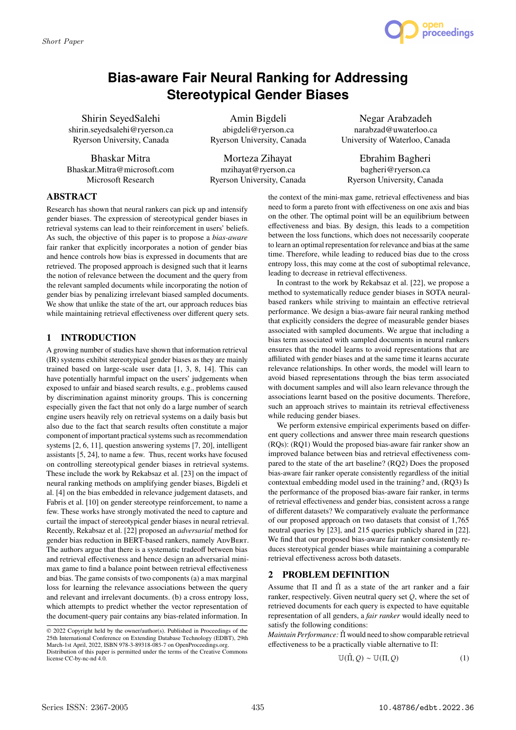

# **Bias-aware Fair Neural Ranking for Addressing Stereotypical Gender Biases**

Shirin SeyedSalehi shirin.seyedsalehi@ryerson.ca Ryerson University, Canada

Bhaskar Mitra Bhaskar.Mitra@microsoft.com Microsoft Research

Amin Bigdeli abigdeli@ryerson.ca Ryerson University, Canada

Morteza Zihayat mzihayat@ryerson.ca Ryerson University, Canada

Negar Arabzadeh narabzad@uwaterloo.ca University of Waterloo, Canada

Ebrahim Bagheri bagheri@ryerson.ca Ryerson University, Canada

# **ABSTRACT**

Research has shown that neural rankers can pick up and intensify gender biases. The expression of stereotypical gender biases in retrieval systems can lead to their reinforcement in users' beliefs. As such, the objective of this paper is to propose a *bias-aware* fair ranker that explicitly incorporates a notion of gender bias and hence controls how bias is expressed in documents that are retrieved. The proposed approach is designed such that it learns the notion of relevance between the document and the query from the relevant sampled documents while incorporating the notion of gender bias by penalizing irrelevant biased sampled documents. We show that unlike the state of the art, our approach reduces bias while maintaining retrieval effectiveness over different query sets.

## **1 INTRODUCTION**

A growing number of studies have shown that information retrieval (IR) systems exhibit stereotypical gender biases as they are mainly trained based on large-scale user data [1, 3, 8, 14]. This can have potentially harmful impact on the users' judgements when exposed to unfair and biased search results, e.g., problems caused by discrimination against minority groups. This is concerning especially given the fact that not only do a large number of search engine users heavily rely on retrieval systems on a daily basis but also due to the fact that search results often constitute a major component of important practical systems such as recommendation systems [2, 6, 11], question answering systems [7, 20], intelligent assistants [5, 24], to name a few. Thus, recent works have focused on controlling stereotypical gender biases in retrieval systems. These include the work by Rekabsaz et al. [23] on the impact of neural ranking methods on amplifying gender biases, Bigdeli et al. [4] on the bias embedded in relevance judgement datasets, and Fabris et al. [10] on gender stereotype reinforcement, to name a few. These works have strongly motivated the need to capture and curtail the impact of stereotypical gender biases in neural retrieval. Recently, Rekabsaz et al. [22] proposed an *adversarial* method for gender bias reduction in BERT-based rankers, namely ADVBERT. The authors argue that there is a systematic tradeoff between bias and retrieval effectiveness and hence design an adversarial minimax game to find a balance point between retrieval effectiveness and bias. The game consists of two components (a) a max marginal loss for learning the relevance associations between the query and relevant and irrelevant documents. (b) a cross entropy loss, which attempts to predict whether the vector representation of the document-query pair contains any bias-related information. In

the context of the mini-max game, retrieval effectiveness and bias need to form a pareto front with effectiveness on one axis and bias on the other. The optimal point will be an equilibrium between effectiveness and bias. By design, this leads to a competition between the loss functions, which does not necessarily cooperate to learn an optimal representation for relevance and bias at the same time. Therefore, while leading to reduced bias due to the cross entropy loss, this may come at the cost of suboptimal relevance, leading to decrease in retrieval effectiveness.

In contrast to the work by Rekabsaz et al. [22], we propose a method to systematically reduce gender biases in SOTA neuralbased rankers while striving to maintain an effective retrieval performance. We design a bias-aware fair neural ranking method that explicitly considers the degree of measurable gender biases associated with sampled documents. We argue that including a bias term associated with sampled documents in neural rankers ensures that the model learns to avoid representations that are affiliated with gender biases and at the same time it learns accurate relevance relationships. In other words, the model will learn to avoid biased representations through the bias term associated with document samples and will also learn relevance through the associations learnt based on the positive documents. Therefore, such an approach strives to maintain its retrieval effectiveness while reducing gender biases.

We perform extensive empirical experiments based on different query collections and answer three main research questions (RQs): (RQ1) Would the proposed bias-aware fair ranker show an improved balance between bias and retrieval effectiveness compared to the state of the art baseline? (RQ2) Does the proposed bias-aware fair ranker operate consistently regardless of the initial contextual embedding model used in the training? and, (RQ3) Is the performance of the proposed bias-aware fair ranker, in terms of retrieval effectiveness and gender bias, consistent across a range of different datasets? We comparatively evaluate the performance of our proposed approach on two datasets that consist of 1,765 neutral queries by [23], and 215 queries publicly shared in [22]. We find that our proposed bias-aware fair ranker consistently reduces stereotypical gender biases while maintaining a comparable retrieval effectiveness across both datasets.

## **2 PROBLEM DEFINITION**

Assume that  $\Pi$  and  $\Pi$  as a state of the art ranker and a fair ranker, respectively. Given neutral query set  $O$ , where the set of retrieved documents for each query is expected to have equitable representation of all genders, a *fair ranker* would ideally need to satisfy the following conditions:

*Maintain Performance:* Π would need to show comparable retrieval effectiveness to be a practically viable alternative to Π:

$$
\mathbb{U}(\hat{\Pi}, Q) \sim \mathbb{U}(\Pi, Q) \tag{1}
$$

<sup>©</sup> 2022 Copyright held by the owner/author(s). Published in Proceedings of the 25th International Conference on Extending Database Technology (EDBT), 29th March-1st April, 2022, ISBN 978-3-89318-085-7 on OpenProceedings.org. Distribution of this paper is permitted under the terms of the Creative Commons license CC-by-nc-nd 4.0.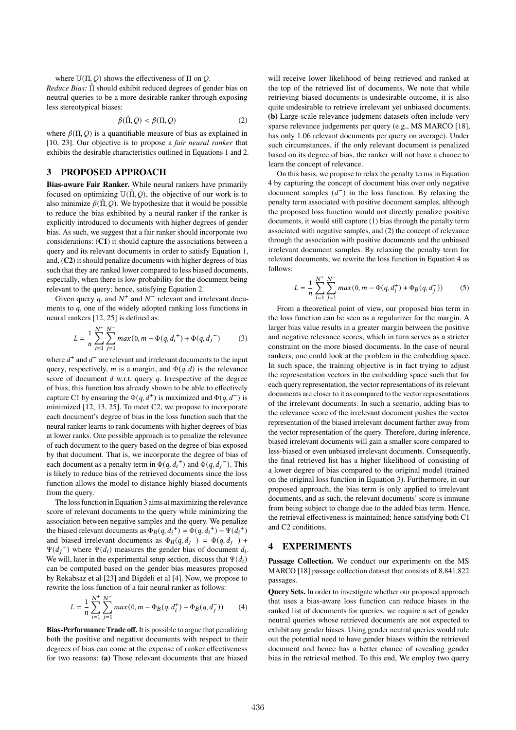where  $U(\Pi, Q)$  shows the effectiveness of  $\Pi$  on  $Q$ .

*Reduce Bias:* Πˆ should exhibit reduced degrees of gender bias on neutral queries to be a more desirable ranker through exposing less stereotypical biases:

$$
\beta(\hat{\Pi}, Q) < \beta(\Pi, Q) \tag{2}
$$

where  $\beta(\Pi, Q)$  is a quantifiable measure of bias as explained in [10, 23]. Our objective is to propose a *fair neural ranker* that exhibits the desirable characteristics outlined in Equations 1 and 2.

## **3 PROPOSED APPROACH**

**Bias-aware Fair Ranker.** While neural rankers have primarily focused on optimizing  $U(\hat{\Pi}, Q)$ , the objective of our work is to also minimize  $\beta(\hat{\Pi}, Q)$ . We hypothesize that it would be possible to reduce the bias exhibited by a neural ranker if the ranker is explicitly introduced to documents with higher degrees of gender bias. As such, we suggest that a fair ranker should incorporate two considerations: (**C1**) it should capture the associations between a query and its relevant documents in order to satisfy Equation 1, and, (**C2**) it should penalize documents with higher degrees of bias such that they are ranked lower compared to less biased documents, especially, when there is low probability for the document being relevant to the query; hence, satisfying Equation 2.

Given query *a*, and  $N^+$  and  $N^-$  relevant and irrelevant documents to  $q$ , one of the widely adopted ranking loss functions in neural rankers [12, 25] is defined as:

$$
L = \frac{1}{n} \sum_{i=1}^{N^+} \sum_{j=1}^{N^-} max(0, m - \Phi(q, d_i^+) + \Phi(q, d_j^-) \tag{3}
$$

where  $d^+$  and  $d^-$  are relevant and irrelevant documents to the input query, respectively, *m* is a margin, and  $\Phi(q, d)$  is the relevance score of document  $d$  w.r.t. query  $q$ . Irrespective of the degree of bias, this function has already shown to be able to effectively capture C1 by ensuring the  $\Phi(q, d^+)$  is maximized and  $\Phi(q, d^-)$  is minimized [12, 13, 25]. To meet C2, we propose to incorporate each document's degree of bias in the loss function such that the neural ranker learns to rank documents with higher degrees of bias at lower ranks. One possible approach is to penalize the relevance of each document to the query based on the degree of bias exposed by that document. That is, we incorporate the degree of bias of each document as a penalty term in  $\Phi(q, d_i^+)$  and  $\Phi(q, d_i^-)$ . This is likely to reduce bias of the retrieved documents since the loss function allows the model to distance highly biased documents from the query.

The loss function in Equation 3 aims at maximizing the relevance score of relevant documents to the query while minimizing the association between negative samples and the query. We penalize the biased relevant documents as  $\Phi_B(q, d_i^+) = \Phi(q, d_i^+) - \Psi(d_i^+)$ and biased irrelevant documents as  $\Phi_B(q, d_i^-) = \Phi(q, d_i^-) +$  $\Psi(d_i^-)$  where  $\Psi(d_i)$  measures the gender bias of document  $d_i$ . We will, later in the experimental setup section, discuss that  $\Psi(d_i)$ can be computed based on the gender bias measures proposed by Rekabsaz et al [23] and Bigdeli et al [4]. Now, we propose to rewrite the loss function of a fair neural ranker as follows:

$$
L = \frac{1}{n} \sum_{i=1}^{N^+} \sum_{j=1}^{N^-} max(0, m - \Phi_B(q, d_i^+) + \Phi_B(q, d_j^-))
$$
 (4)

**Bias-Performance Trade off.** It is possible to argue that penalizing both the positive and negative documents with respect to their degrees of bias can come at the expense of ranker effectiveness for two reasons: **(a)** Those relevant documents that are biased will receive lower likelihood of being retrieved and ranked at the top of the retrieved list of documents. We note that while retrieving biased documents is undesirable outcome, it is also quite undesirable to retrieve irrelevant yet unbiased documents. **(b)** Large-scale relevance judgment datasets often include very sparse relevance judgements per query (e.g., MS MARCO [18], has only 1.06 relevant documents per query on average). Under such circumstances, if the only relevant document is penalized based on its degree of bias, the ranker will not have a chance to learn the concept of relevance.

On this basis, we propose to relax the penalty terms in Equation 4 by capturing the concept of document bias over only negative document samples  $(d^-)$  in the loss function. By relaxing the penalty term associated with positive document samples, although the proposed loss function would not directly penalize positive documents, it would still capture (1) bias through the penalty term associated with negative samples, and (2) the concept of relevance through the association with positive documents and the unbiased irrelevant document samples. By relaxing the penalty term for relevant documents, we rewrite the loss function in Equation 4 as follows:

$$
L = \frac{1}{n} \sum_{i=1}^{N^+} \sum_{j=1}^{N^-} max(0, m - \Phi(q, d_i^+) + \Phi_B(q, d_j^-))
$$
 (5)

From a theoretical point of view, our proposed bias term in the loss function can be seen as a regularizer for the margin. A larger bias value results in a greater margin between the positive and negative relevance scores, which in turn serves as a stricter constraint on the more biased documents. In the case of neural rankers, one could look at the problem in the embedding space. In such space, the training objective is in fact trying to adjust the representation vectors in the embedding space such that for each query representation, the vector representations of its relevant documents are closer to it as compared to the vector representations of the irrelevant documents. In such a scenario, adding bias to the relevance score of the irrelevant document pushes the vector representation of the biased irrelevant document farther away from the vector representation of the query. Therefore, during inference, biased irrelevant documents will gain a smaller score compared to less-biased or even unbiased irrelevant documents. Consequently, the final retrieved list has a higher likelihood of consisting of a lower degree of bias compared to the original model (trained on the original loss function in Equation 3). Furthermore, in our proposed approach, the bias term is only applied to irrelevant documents, and as such, the relevant documents' score is immune from being subject to change due to the added bias term. Hence, the retrieval effectiveness is maintained; hence satisfying both C1 and C2 conditions.

### **4 EXPERIMENTS**

**Passage Collection.** We conduct our experiments on the MS MARCO [18] passage collection dataset that consists of 8,841,822 passages.

**Query Sets.** In order to investigate whether our proposed approach that uses a bias-aware loss function can reduce biases in the ranked list of documents for queries, we require a set of gender neutral queries whose retrieved documents are not expected to exhibit any gender biases. Using gender neutral queries would rule out the potential need to have gender biases within the retrieved document and hence has a better chance of revealing gender bias in the retrieval method. To this end, We employ two query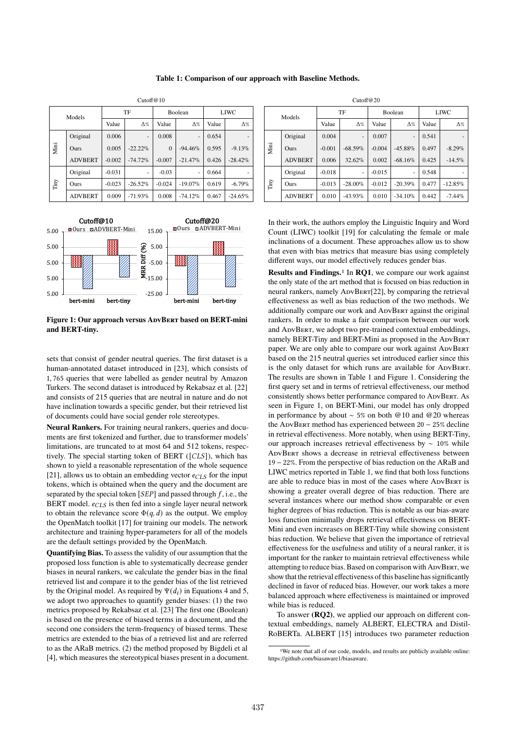|    |  | Cutoff@10 |             |        |
|----|--|-----------|-------------|--------|
| TF |  | Boolean   | <b>LIWC</b> | Models |

**Table 1: Comparison of our approach with Baseline Methods.**

|  |      | Models         |                     | TF                       |          | <b>Boolean</b>               | <b>LIWC</b> |            |  |  |  |
|--|------|----------------|---------------------|--------------------------|----------|------------------------------|-------------|------------|--|--|--|
|  |      |                | Value<br>$\Delta\%$ |                          | Value    | $\Delta\%$                   | Value       | $\Delta\%$ |  |  |  |
|  |      | Original       | 0.006               | $\overline{\phantom{a}}$ | 0.008    | $\qquad \qquad \blacksquare$ | 0.654       |            |  |  |  |
|  | Mini | <b>Ours</b>    | 0.005               | $-22.22\%$               | $\Omega$ | $-94.46\%$                   | 0.595       | $-9.13%$   |  |  |  |
|  |      | <b>ADVBERT</b> | $-0.002$            | $-74.72%$                | $-0.007$ | $-21.47%$                    | 0.426       | $-28.42\%$ |  |  |  |
|  |      | Original       | $-0.031$            | ٠                        | $-0.03$  | ٠                            | 0.664       |            |  |  |  |
|  | Tiny | <b>Ours</b>    | $-0.023$            | $-26.52\%$               | $-0.024$ | $-19.07\%$                   | 0.619       | $-6.79\%$  |  |  |  |
|  |      | <b>ADVBERT</b> | 0.009               | $-71.93\%$               | 0.008    | $-74.12%$                    | 0.467       | $-24.65\%$ |  |  |  |



**Figure 1: Our approach versus ADVBERT based on BERT-mini and BERT-tiny.**

sets that consist of gender neutral queries. The first dataset is a human-annotated dataset introduced in [23], which consists of 1, 765 queries that were labelled as gender neutral by Amazon Turkers. The second dataset is introduced by Rekabsaz et al. [22] and consists of 215 queries that are neutral in nature and do not have inclination towards a specific gender, but their retrieved list of documents could have social gender role stereotypes.

**Neural Rankers.** For training neural rankers, queries and documents are first tokenized and further, due to transformer models' limitations, are truncated to at most 64 and 512 tokens, respectively. The special starting token of BERT ( $[CLS]$ ), which has shown to yield a reasonable representation of the whole sequence [21], allows us to obtain an embedding vector  $e_{CLS}$  for the input tokens, which is obtained when the query and the document are separated by the special token  $[SEP]$  and passed through  $f$ , i.e., the BERT model.  $e_{CLS}$  is then fed into a single layer neural network to obtain the relevance score  $\Phi(q, d)$  as the output. We employ the OpenMatch toolkit [17] for training our models. The network architecture and training hyper-parameters for all of the models are the default settings provided by the OpenMatch.

**Quantifying Bias.** To assess the validity of our assumption that the proposed loss function is able to systematically decrease gender biases in neural rankers, we calculate the gender bias in the final retrieved list and compare it to the gender bias of the list retrieved by the Original model. As required by  $\Psi(d_i)$  in Equations 4 and 5, we adopt two approaches to quantify gender biases: (1) the two metrics proposed by Rekabsaz et al. [23] The first one (Boolean) is based on the presence of biased terms in a document, and the second one considers the term-frequency of biased terms. These metrics are extended to the bias of a retrieved list and are referred to as the ARaB metrics. (2) the method proposed by Bigdeli et al [4], which measures the stereotypical biases present in a document.

| Cutoff $@20$ |                |                        |            |          |                |             |                          |  |  |  |  |  |  |
|--------------|----------------|------------------------|------------|----------|----------------|-------------|--------------------------|--|--|--|--|--|--|
|              | Models         |                        | TF         |          | <b>Boolean</b> | <b>LIWC</b> |                          |  |  |  |  |  |  |
|              |                | Value                  | $\Delta\%$ | Value    | $\Delta\%$     | Value       | $\Delta\%$               |  |  |  |  |  |  |
| Mini         | Original       | 0.004                  | ٠          | 0.007    | $\overline{a}$ | 0.541       | $\overline{\phantom{0}}$ |  |  |  |  |  |  |
|              | <b>Ours</b>    | $-0.001$<br>$-68.59\%$ |            | $-0.004$ | $-45.88\%$     | 0.497       | $-8.29\%$                |  |  |  |  |  |  |
|              | <b>ADVBERT</b> | 0.006                  | 32.62%     | 0.002    | $-68.16\%$     | 0.425       | $-14.5\%$                |  |  |  |  |  |  |
| Tiny         | Original       | $-0.018$               | ٠          | $-0.015$ | -              | 0.548       | -                        |  |  |  |  |  |  |
|              | <b>Ours</b>    | $-0.013$               | $-28.00\%$ | $-0.012$ | $-20.39%$      | 0.477       | $-12.85%$                |  |  |  |  |  |  |
|              | <b>ADVBERT</b> | 0.010                  | $-43.93\%$ | 0.010    | $-34.10\%$     | 0.442       | $-7.44%$                 |  |  |  |  |  |  |

In their work, the authors employ the Linguistic Inquiry and Word Count (LIWC) toolkit [19] for calculating the female or male inclinations of a document. These approaches allow us to show that even with bias metrics that measure bias using completely different ways, our model effectively reduces gender bias.

**Results and Findings.**1 In **RQ1**, we compare our work against the only state of the art method that is focused on bias reduction in neural rankers, namely ADVBERT[22], by comparing the retrieval effectiveness as well as bias reduction of the two methods. We additionally compare our work and ADVBERT against the original rankers. In order to make a fair comparison between our work and AdvBert, we adopt two pre-trained contextual embeddings, namely BERT-Tiny and BERT-Mini as proposed in the ADVBERT paper. We are only able to compare our work against ADVBERT based on the 215 neutral queries set introduced earlier since this is the only dataset for which runs are available for ADVBERT. The results are shown in Table 1 and Figure 1. Considering the first query set and in terms of retrieval effectiveness, our method consistently shows better performance compared to ADVBERT. As seen in Figure 1, on BERT-Mini, our model has only dropped in performance by about ∼ 5% on both @10 and @20 whereas the AdvBert method has experienced between 20 − 25% decline in retrieval effectiveness. More notably, when using BERT-Tiny, our approach increases retrieval effectiveness by ∼ 10% while ADVBERT shows a decrease in retrieval effectiveness between 19 − 22%. From the perspective of bias reduction on the ARaB and LIWC metrics reported in Table 1, we find that both loss functions are able to reduce bias in most of the cases where ADVBERT is showing a greater overall degree of bias reduction. There are several instances where our method show comparable or even higher degrees of bias reduction. This is notable as our bias-aware loss function minimally drops retrieval effectiveness on BERT-Mini and even increases on BERT-Tiny while showing consistent bias reduction. We believe that given the importance of retrieval effectiveness for the usefulness and utility of a neural ranker, it is important for the ranker to maintain retrieval effectiveness while attempting to reduce bias. Based on comparison with ApvBERT, we show that the retrieval effectiveness of this baseline has significantly declined in favor of reduced bias. However, our work takes a more balanced approach where effectiveness is maintained or improved while bias is reduced.

To answer **(RQ2)**, we applied our approach on different contextual embeddings, namely ALBERT, ELECTRA and Distil-RoBERTa. ALBERT [15] introduces two parameter reduction

<sup>&</sup>lt;sup>1</sup>We note that all of our code, models, and results are publicly available online: https://github.com/biasaware1/biasaware.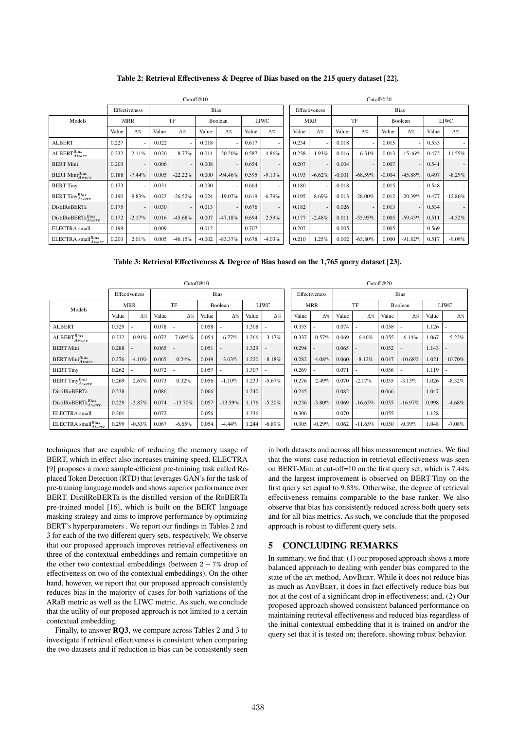#### **Table 2: Retrieval Effectiveness & Degree of Bias based on the 215 query dataset [22].**

|                                           | Cutoff@10  |                          |          |                          |             |            |             |                              |  |            | Cutoff@20                |          |            |          |                          |             |            |  |  |  |  |
|-------------------------------------------|------------|--------------------------|----------|--------------------------|-------------|------------|-------------|------------------------------|--|------------|--------------------------|----------|------------|----------|--------------------------|-------------|------------|--|--|--|--|
|                                           |            | Effectiveness            |          |                          | <b>Bias</b> |            |             | <b>Bias</b><br>Effectiveness |  |            |                          |          |            |          |                          |             |            |  |  |  |  |
| Models                                    | <b>MRR</b> |                          |          | TF                       | Boolean     |            | <b>LIWC</b> |                              |  | <b>MRR</b> |                          | TF       |            | Boolean  |                          | <b>LIWC</b> |            |  |  |  |  |
|                                           | Value      | $\Delta\%$               | Value    | $\Delta\%$               | Value       | $\Delta\%$ | Value       | $\Delta\%$                   |  | Value      | $\Delta\%$               | Value    | $\Delta\%$ | Value    | $\Delta\%$               | Value       | $\Delta\%$ |  |  |  |  |
| <b>ALBERT</b>                             | 0.227      | ٠                        | 0.022    | ٠                        | 0.018       | ٠          | 0.617       | ٠                            |  | 0.234      | $\overline{\phantom{a}}$ | 0.018    |            | 0.015    |                          | 0.533       |            |  |  |  |  |
| $\text{ALEERT}_{Aware}^{Bias}$            | 0.232      | 2.11%                    | 0.020    | $-8.77%$                 | 0.014       | $-20.20%$  | 0.587       | $-4.86%$                     |  | 0.238      | 1.93%                    | 0.016    | $-6.31%$   | 0.013    | $-15.46\%$               | 0.472       | $-11.55\%$ |  |  |  |  |
| <b>BERT Mini</b>                          | 0.203      | $\overline{\phantom{a}}$ | 0.006    | $\overline{\phantom{a}}$ | 0.008       | $\sim$     | 0.654       | $\blacksquare$               |  | 0.207      | $\overline{\phantom{a}}$ | 0.004    |            | 0.007    |                          | 0.541       |            |  |  |  |  |
| <b>BERT</b> Mini <sup>Bias</sup><br>Aware | 0.188      | $-7.44\%$                | 0.005    | $-22.22%$                | 0.000       | $-94.46%$  | 0.595       | $-9.13%$                     |  | 0.193      | $-6.62%$                 | $-0.001$ | $-68.59\%$ | $-0.004$ | $-45.88\%$               | 0.497       | $-8.29\%$  |  |  |  |  |
| <b>BERT Tiny</b>                          | 0.173      | ٠                        | $-0.031$ | ٠                        | $-0.030$    | ۰.         | 0.664       | $\blacksquare$               |  | 0.180      | ٠                        | $-0.018$ |            | $-0.015$ |                          | 0.548       |            |  |  |  |  |
| BERT TinyBias                             | 0.190      | 9.83%                    | $-0.023$ | $-26.52\%$               | $-0.024$    | $-19.07\%$ | 0.619       | $-6.79\%$                    |  | 0.195      | 8.69%                    | $-0.013$ | $-28.00\%$ | $-0.012$ | $-20.39\%$               | 0.477       | $-12.86%$  |  |  |  |  |
| <b>DistilRoBERTa</b>                      | 0.175      | $\overline{\phantom{a}}$ | 0.030    | $\overline{\phantom{a}}$ | 0.013       | $\sim$     | 0.676       | $\overline{\phantom{a}}$     |  | 0.182      | $\overline{\phantom{a}}$ | 0.026    |            | 0.013    | $\overline{\phantom{a}}$ | 0.534       |            |  |  |  |  |
| DistilRoBERTaBias                         | 0.172      | $-2.17%$                 | 0.016    | $-45.68\%$               | 0.007       | $-47.18%$  | 0.694       | $2.59\%$                     |  | 0.177      | $-2.48%$                 | 0.011    | $-55.95%$  | 0.005    | $-59.43\%$               | 0.511       | $-4.32%$   |  |  |  |  |
| <b>ELECTRA</b> small                      | 0.199      | $\sim$                   | $-0.009$ | ٠                        | $-0.012$    | ۰.         | 0.707       | $\overline{\phantom{a}}$     |  | 0.207      | $\overline{\phantom{a}}$ | $-0.005$ |            | $-0.005$ |                          | 0.569       |            |  |  |  |  |
| ELECTRA small $^{Bias}_{Aware}$           | 0.203      | 2.01%                    | 0.005    | $-46.15%$                | $-0.002$    | $-83.37%$  | 0.678       | $-4.03\%$                    |  | 0.210      | 1.25%                    | 0.002    | $-63.80%$  | 0.000    | $-91.82%$                | 0.517       | $-9.09%$   |  |  |  |  |

|                                                     | Cutoff@10  |               |       |                          |             |            |             |                              |  |            | Cutoff@20                |       |            |         |            |       |            |  |  |  |  |
|-----------------------------------------------------|------------|---------------|-------|--------------------------|-------------|------------|-------------|------------------------------|--|------------|--------------------------|-------|------------|---------|------------|-------|------------|--|--|--|--|
|                                                     |            | Effectiveness |       |                          | <b>Bias</b> |            |             | <b>Bias</b><br>Effectiveness |  |            |                          |       |            |         |            |       |            |  |  |  |  |
| Models                                              | <b>MRR</b> |               | TF    |                          | Boolean     |            | <b>LIWC</b> |                              |  | <b>MRR</b> |                          | TF    |            | Boolean |            | LIWC  |            |  |  |  |  |
|                                                     | Value      | $\Delta\%$    | Value | $\Delta\%$               | Value       | $\Delta\%$ | Value       | $\Delta\%$                   |  | Value      | $\Delta\%$               | Value | $\Delta\%$ | Value   | $\Delta\%$ | Value | $\Delta\%$ |  |  |  |  |
| <b>ALBERT</b>                                       | 0.329      |               | 0.078 |                          | 0.058       |            | 1.308       |                              |  | 0.335      | $\overline{\phantom{a}}$ | 0.074 |            | 0.058   |            | 1.126 |            |  |  |  |  |
| $\mathrm{ALBERT}_{Aware}^{Bias}$                    | 0.332      | 0.91%         | 0.072 | $-7.69\%$ %              | 0.054       | $-6.77%$   | 1.266       | $-3.17%$                     |  | 0.337      | 0.57%                    | 0.069 | $-6.46%$   | 0.055   | $-6.14%$   | 1.067 | $-5.22%$   |  |  |  |  |
| <b>BERT Mini</b>                                    | 0.288      |               | 0.065 | $\overline{\phantom{a}}$ | 0.051       | ٠          | 1.329       |                              |  | 0.294      | $\overline{\phantom{a}}$ | 0.065 |            | 0.052   |            | 1.143 |            |  |  |  |  |
| <b>BERT</b> Mini <sup>Bias</sup><br>Aware           | 0.276      | $-4.10%$      | 0.065 | 0.24%                    | 0.049       | $-3.03%$   | 1.220       | $-8.18%$                     |  | 0.282      | $-4.08\%$                | 0.060 | $-8.12%$   | 0.047   | $-10.68\%$ | 1.021 | $-10.70%$  |  |  |  |  |
| <b>BERT Tiny</b>                                    | 0.262      |               | 0.072 |                          | 0.057       |            | 1.307       |                              |  | 0.269      | $\overline{\phantom{a}}$ | 0.071 |            | 0.056   |            | 1.119 |            |  |  |  |  |
| BERT TinyBias                                       | 0.269      | 2.67%         | 0.073 | 0.32%                    | 0.056       | $-1.10%$   | 1.233       | $-5.67%$                     |  | 0.276      | 2.49%                    | 0.070 | $-2.17%$   | 0.055   | $-3.13%$   | 1.026 | $-8.32%$   |  |  |  |  |
| <b>DistilRoBERTa</b>                                | 0.238      |               | 0.086 |                          | 0.066       |            | 1.240       |                              |  | 0.245      |                          | 0.082 |            | 0.066   |            | 1.047 |            |  |  |  |  |
| $\text{DistilRoBERTa}^{Bias}_{Aware}$               | 0.229      | $-3.87%$      | 0.074 | $-13.70\%$               | 0.057       | $-13.59\%$ | 1.176       | $-5.20%$                     |  | 0.236      | $-3.80%$                 | 0.069 | $-16.65%$  | 0.055   | $-16.97%$  | 0.998 | $-4.68\%$  |  |  |  |  |
| ELECTRA small                                       | 0.301      |               | 0.072 |                          | 0.056       |            | 1.336       |                              |  | 0.306      | $\overline{\phantom{a}}$ | 0.070 |            | 0.055   |            | 1.128 |            |  |  |  |  |
| $\text{ELECTRA small}^\textit{Bias}_\textit{Aware}$ | 0.299      | $-0.53%$      | 0.067 | $-6.65\%$                | 0.054       | $-4.44%$   | 1.244       | $-6.89%$                     |  | 0.305      | $-0.29%$                 | 0.062 | $-11.65%$  | 0.050   | $-9.39%$   | 1.048 | $-7.08\%$  |  |  |  |  |

techniques that are capable of reducing the memory usage of BERT, which in effect also increases training speed. ELECTRA [9] proposes a more sample-efficient pre-training task called Replaced Token Detection (RTD) that leverages GAN's for the task of pre-training language models and shows superior performance over BERT. DistilRoBERTa is the distilled version of the RoBERTa pre-trained model [16], which is built on the BERT language masking strategy and aims to improve performance by optimizing BERT's hyperparameters . We report our findings in Tables 2 and 3 for each of the two different query sets, respectively. We observe that our proposed approach improves retrieval effectiveness on three of the contextual embeddings and remain competitive on the other two contextual embeddings (between 2 − 7% drop of effectiveness on two of the contextual embeddings). On the other hand, however, we report that our proposed approach consistently reduces bias in the majority of cases for both variations of the ARaB metric as well as the LIWC metric. As such, we conclude that the utility of our proposed approach is not limited to a certain contextual embedding.

Finally, to answer **RQ3**, we compare across Tables 2 and 3 to investigate if retrieval effectiveness is consistent when comparing the two datasets and if reduction in bias can be consistently seen in both datasets and across all bias measurement metrics. We find that the worst case reduction in retrieval effectiveness was seen on BERT-Mini at cut-off=10 on the first query set, which is 7.44% and the largest improvement is observed on BERT-Tiny on the first query set equal to 9.83%. Otherwise, the degree of retrieval effectiveness remains comparable to the base ranker. We also observe that bias has consistently reduced across both query sets and for all bias metrics. As such, we conclude that the proposed approach is robust to different query sets.

#### **5 CONCLUDING REMARKS**

In summary, we find that: (1) our proposed approach shows a more balanced approach to dealing with gender bias compared to the state of the art method, ADVBERT. While it does not reduce bias as much as AdvBert, it does in fact effectively reduce bias but not at the cost of a significant drop in effectiveness; and, (2) Our proposed approach showed consistent balanced performance on maintaining retrieval effectiveness and reduced bias regardless of the initial contextual embedding that it is trained on and/or the query set that it is tested on; therefore, showing robust behavior.